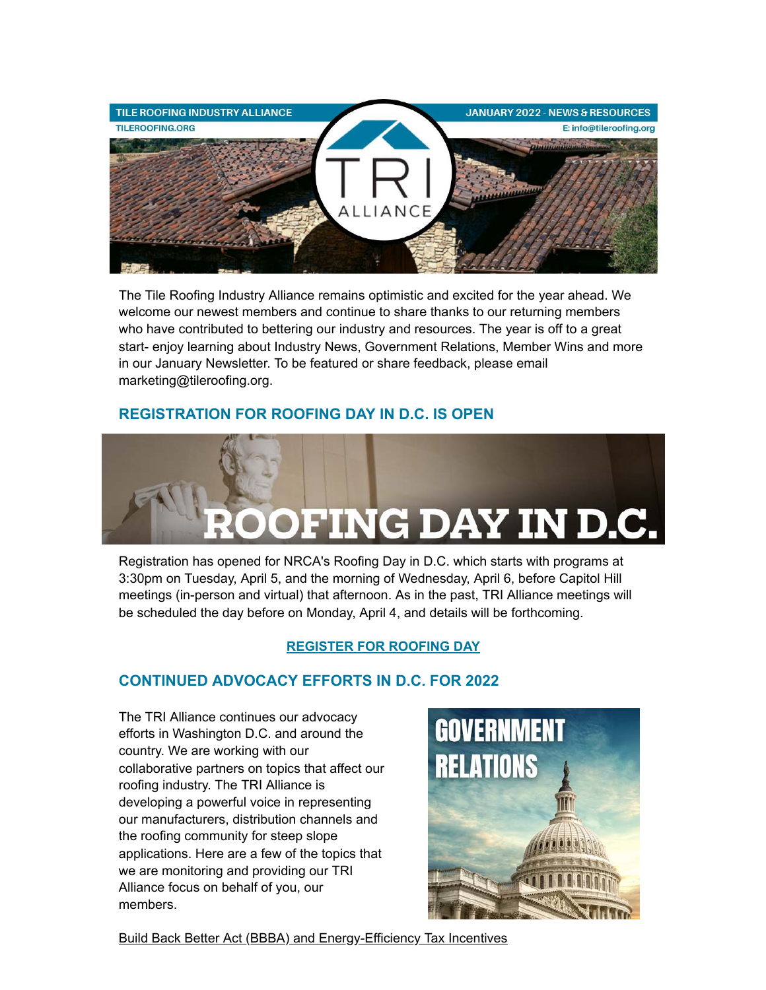

The Tile Roofing Industry Alliance remains optimistic and excited for the year ahead. We welcome our newest members and continue to share thanks to our returning members who have contributed to bettering our industry and resources. The year is off to a great start- enjoy learning about Industry News, Government Relations, Member Wins and more in our January Newsletter. To be featured or share feedback, please email marketing@tileroofing.org.

# **REGISTRATION FOR ROOFING DAY IN D.C. IS OPEN**



Registration has opened for NRCA's Roofing Day in D.C. which starts with programs at 3:30pm on Tuesday, April 5, and the morning of Wednesday, April 6, before Capitol Hill meetings (in-person and virtual) that afternoon. As in the past, TRI Alliance meetings will be scheduled the day before on Monday, April 4, and details will be forthcoming.

## **[REGISTER FOR ROOFING DAY](https://www.nrca.net/advocacy/roofingday)**

# **CONTINUED ADVOCACY EFFORTS IN D.C. FOR 2022**

The TRI Alliance continues our advocacy efforts in Washington D.C. and around the country. We are working with our collaborative partners on topics that affect our roofing industry. The TRI Alliance is developing a powerful voice in representing our manufacturers, distribution channels and the roofing community for steep slope applications. Here are a few of the topics that we are monitoring and providing our TRI Alliance focus on behalf of you, our members.



Build Back Better Act (BBBA) and Energy-Efficiency Tax Incentives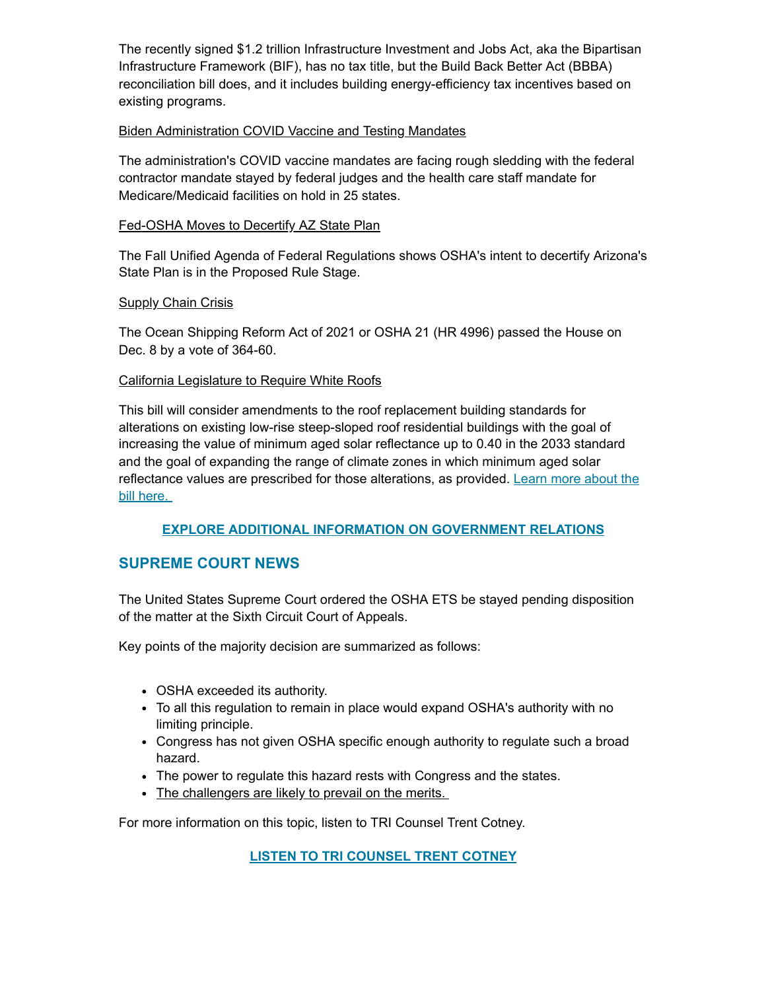The recently signed \$1.2 trillion Infrastructure Investment and Jobs Act, aka the Bipartisan Infrastructure Framework (BIF), has no tax title, but the Build Back Better Act (BBBA) reconciliation bill does, and it includes building energy-efficiency tax incentives based on existing programs.

#### Biden Administration COVID Vaccine and Testing Mandates

The administration's COVID vaccine mandates are facing rough sledding with the federal contractor mandate stayed by federal judges and the health care staff mandate for Medicare/Medicaid facilities on hold in 25 states.

## Fed-OSHA Moves to Decertify AZ State Plan

The Fall Unified Agenda of Federal Regulations shows OSHA's intent to decertify Arizona's State Plan is in the Proposed Rule Stage.

## **Supply Chain Crisis**

The Ocean Shipping Reform Act of 2021 or OSHA 21 (HR 4996) passed the House on Dec. 8 by a vote of 364-60.

## California Legislature to Require White Roofs

This bill will consider amendments to the roof replacement building standards for alterations on existing low-rise steep-sloped roof residential buildings with the goal of increasing the value of minimum aged solar reflectance up to 0.40 in the 2033 standard and the goal of expanding the range of climate zones in which minimum aged solar [reflectance values are prescribed for those alterations, as provided. Learn more about the](https://openstates.org/ca/bills/20212022/AB1227/) bill here.

## **[EXPLORE ADDITIONAL INFORMATION ON GOVERNMENT RELATIONS](http://www.tileroofing.org/)**

# **SUPREME COURT NEWS**

The United States Supreme Court ordered the OSHA ETS be stayed pending disposition of the matter at the Sixth Circuit Court of Appeals.

Key points of the majority decision are summarized as follows:

- OSHA exceeded its authority.
- To all this regulation to remain in place would expand OSHA's authority with no limiting principle.
- Congress has not given OSHA specific enough authority to regulate such a broad hazard.
- The power to regulate this hazard rests with Congress and the states.
- The challengers are likely to prevail on the merits.

For more information on this topic, listen to TRI Counsel Trent Cotney.

**[LISTEN TO TRI COUNSEL TRENT COTNEY](https://www.youtube.com/watch?v=XqD0rell8OY)**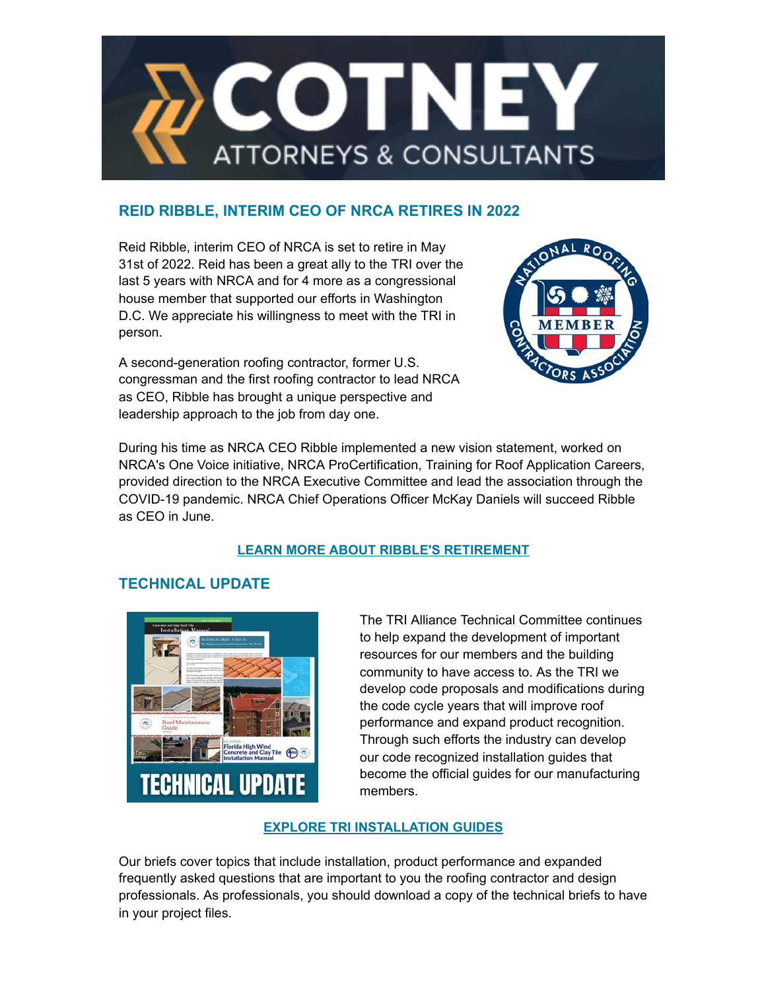

# **REID RIBBLE, INTERIM CEO OF NRCA RETIRES IN 2022**

Reid Ribble, interim CEO of NRCA is set to retire in May 31st of 2022. Reid has been a great ally to the TRI over the last 5 years with NRCA and for 4 more as a congressional house member that supported our efforts in Washington D.C. We appreciate his willingness to meet with the TRI in person.

A second-generation roofing contractor, former U.S. congressman and the first roofing contractor to lead NRCA as CEO, Ribble has brought a unique perspective and leadership approach to the job from day one.



During his time as NRCA CEO Ribble implemented a new vision statement, worked on NRCA's One Voice initiative, NRCA ProCertification, Training for Roof Application Careers, provided direction to the NRCA Executive Committee and lead the association through the COVID-19 pandemic. NRCA Chief Operations Officer McKay Daniels will succeed Ribble as CEO in June.

# **[LEARN MORE ABOUT RIBBLE'S RETIREMENT](https://www.roofingcontractor.com/articles/96470-nrca-announces-ceo-reid-ribbles-retirement#:~:text=%E2%80%94The%20National%20Roofing%20Contractors%20Association,five%20years,%E2%80%9D%20Ribble%20says)**

# **TECHNICAL UPDATE**



The TRI Alliance Technical Committee continues to help expand the development of important resources for our members and the building community to have access to. As the TRI we develop code proposals and modifications during the code cycle years that will improve roof performance and expand product recognition. Through such efforts the industry can develop our code recognized installation guides that become the official guides for our manufacturing members.

# **[EXPLORE TRI INSTALLATION GUIDES](https://tileroofing.org/industry/installation-guides/)**

Our briefs cover topics that include installation, product performance and expanded frequently asked questions that are important to you the roofing contractor and design professionals. As professionals, you should download a copy of the technical briefs to have in your project files.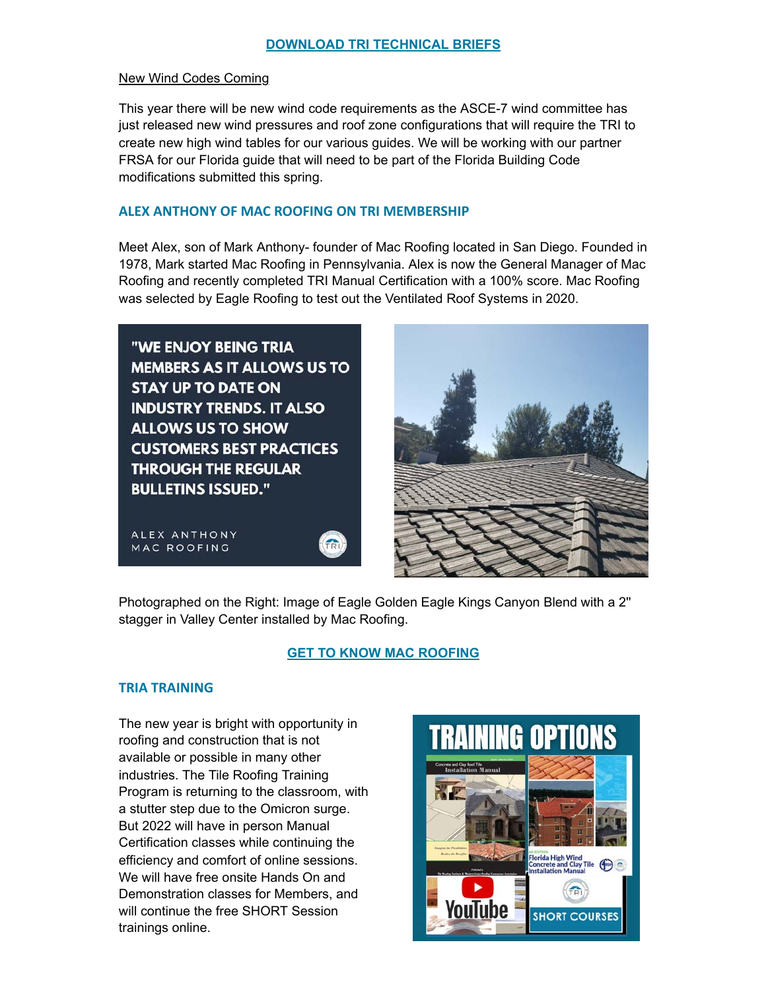#### New Wind Codes Coming

This year there will be new wind code requirements as the ASCE-7 wind committee has just released new wind pressures and roof zone configurations that will require the TRI to create new high wind tables for our various guides. We will be working with our partner FRSA for our Florida guide that will need to be part of the Florida Building Code modifications submitted this spring.

#### **ALEX ANTHONY OF MAC ROOFING ON TRI MEMBERSHIP**

Meet Alex, son of Mark Anthony- founder of Mac Roofing located in San Diego. Founded in 1978, Mark started Mac Roofing in Pennsylvania. Alex is now the General Manager of Mac Roofing and recently completed TRI Manual Certification with a 100% score. Mac Roofing was selected by Eagle Roofing to test out the Ventilated Roof Systems in 2020.

"WE ENJOY BEING TRIA **MEMBERS AS IT ALLOWS US TO STAY UP TO DATE ON INDUSTRY TRENDS. IT ALSO ALLOWS US TO SHOW CUSTOMERS BEST PRACTICES THROUGH THE REGULAR BULLETINS ISSUED."** 

ALEX ANTHONY MAC ROOFING

Photographed on the Right: Image of Eagle Golden Eagle Kings Canyon Blend with a 2'' stagger in Valley Center installed by Mac Roofing.

 $\left(\begin{matrix} 1 \\ 1 \\ 0 \end{matrix}\right)$ 

## **[GET TO KNOW MAC ROOFING](http://www.markanthonyconstructionandroofing.com/)**

## **TRIA TRAINING**

The new year is bright with opportunity in roofing and construction that is not available or possible in many other industries. The Tile Roofing Training Program is returning to the classroom, with a stutter step due to the Omicron surge. But 2022 will have in person Manual Certification classes while continuing the efficiency and comfort of online sessions. We will have free onsite Hands On and Demonstration classes for Members, and will continue the free SHORT Session trainings online.

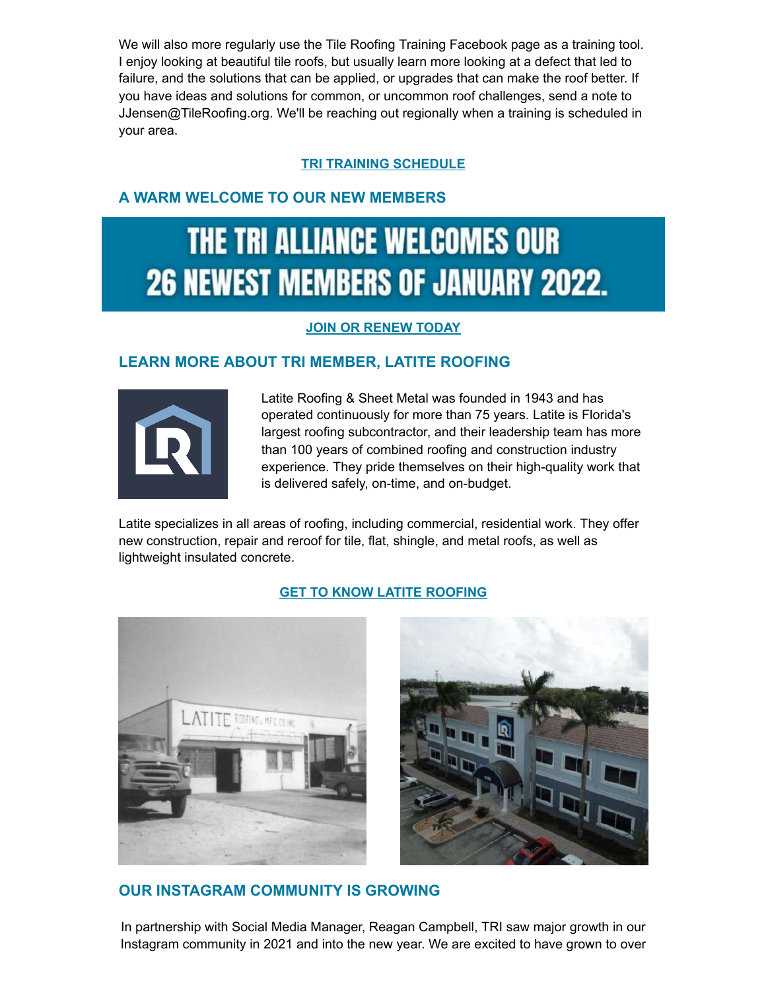We will also more regularly use the Tile Roofing Training Facebook page as a training tool. I enjoy looking at beautiful tile roofs, but usually learn more looking at a defect that led to failure, and the solutions that can be applied, or upgrades that can make the roof better. If you have ideas and solutions for common, or uncommon roof challenges, send a note to JJensen@TileRoofing.org. We'll be reaching out regionally when a training is scheduled in your area.

## **[TRI TRAINING SCHEDULE](https://tileroofing.org/training/schedule/)**

# **A WARM WELCOME TO OUR NEW MEMBERS**

# THE TRI ALLIANCE WELCOMES OUR **26 NEWEST MEMBERS OF JANUARY 2022.**

#### **[JOIN OR RENEW TODAY](https://tileroofing.org/membership/)**

# **LEARN MORE ABOUT TRI MEMBER, LATITE ROOFING**



Latite Roofing & Sheet Metal was founded in 1943 and has operated continuously for more than 75 years. Latite is Florida's largest roofing subcontractor, and their leadership team has more than 100 years of combined roofing and construction industry experience. They pride themselves on their high-quality work that is delivered safely, on-time, and on-budget.

Latite specializes in all areas of roofing, including commercial, residential work. They offer new construction, repair and reroof for tile, flat, shingle, and metal roofs, as well as lightweight insulated concrete.

#### **[GET TO KNOW LATITE ROOFING](https://latite.com/)**





## **OUR INSTAGRAM COMMUNITY IS GROWING**

In partnership with Social Media Manager, Reagan Campbell, TRI saw major growth in our Instagram community in 2021 and into the new year. We are excited to have grown to over